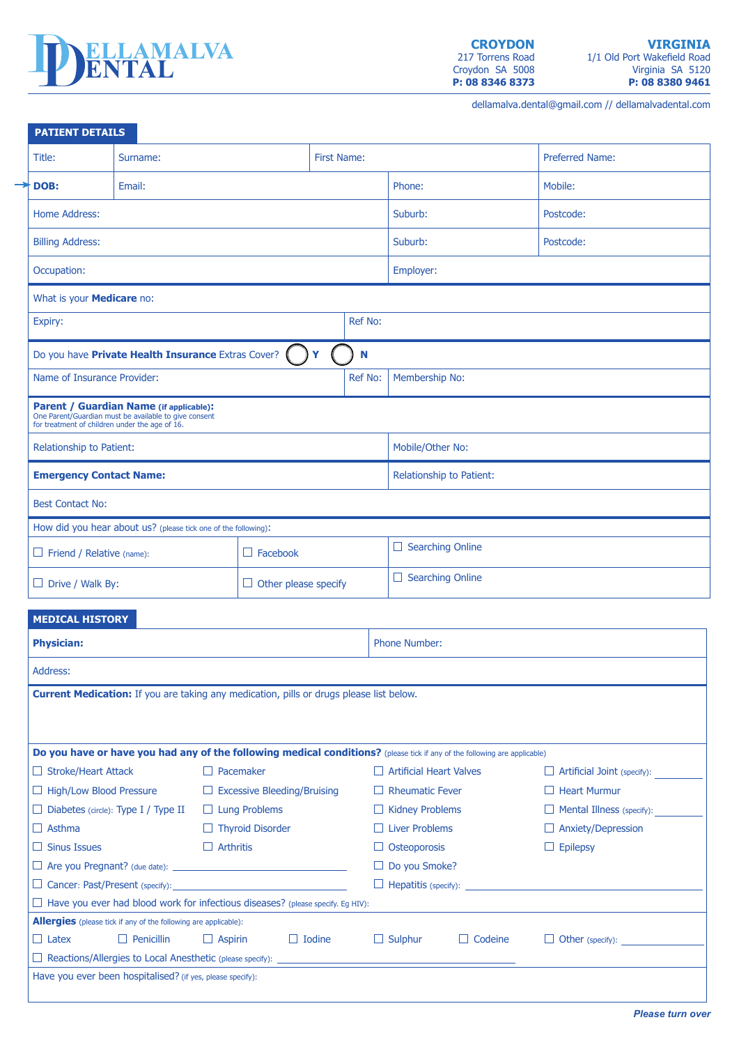

dellamalva.dental@gmail.com // dellamalvadental.com

| <b>PATIENT DETAILS</b>                                                                                  |                         |                             |                                    |               |                         |                                 |                                                                                                                           |                                                                    |  |  |  |
|---------------------------------------------------------------------------------------------------------|-------------------------|-----------------------------|------------------------------------|---------------|-------------------------|---------------------------------|---------------------------------------------------------------------------------------------------------------------------|--------------------------------------------------------------------|--|--|--|
| Title:                                                                                                  | Surname:                | <b>First Name:</b>          |                                    |               |                         |                                 | <b>Preferred Name:</b>                                                                                                    |                                                                    |  |  |  |
| DOB:                                                                                                    | Email:                  |                             |                                    |               |                         | Phone:                          |                                                                                                                           | Mobile:                                                            |  |  |  |
| Home Address:                                                                                           |                         |                             |                                    |               |                         | Suburb:                         |                                                                                                                           | Postcode:                                                          |  |  |  |
| <b>Billing Address:</b>                                                                                 |                         |                             |                                    |               |                         | Suburb:                         |                                                                                                                           | Postcode:                                                          |  |  |  |
| Occupation:                                                                                             |                         |                             |                                    |               |                         | Employer:                       |                                                                                                                           |                                                                    |  |  |  |
| What is your <b>Medicare</b> no:                                                                        |                         |                             |                                    |               |                         |                                 |                                                                                                                           |                                                                    |  |  |  |
| Expiry:                                                                                                 |                         |                             |                                    |               | <b>Ref No:</b>          |                                 |                                                                                                                           |                                                                    |  |  |  |
| Do you have Private Health Insurance Extras Cover?<br>Y<br>N                                            |                         |                             |                                    |               |                         |                                 |                                                                                                                           |                                                                    |  |  |  |
| Name of Insurance Provider:                                                                             |                         |                             |                                    |               | <b>Ref No:</b>          | Membership No:                  |                                                                                                                           |                                                                    |  |  |  |
| <b>Parent / Guardian Name (if applicable):</b>                                                          |                         |                             |                                    |               |                         |                                 |                                                                                                                           |                                                                    |  |  |  |
| One Parent/Guardian must be available to give consent<br>for treatment of children under the age of 16. |                         |                             |                                    |               |                         |                                 |                                                                                                                           |                                                                    |  |  |  |
| <b>Relationship to Patient:</b>                                                                         |                         |                             |                                    |               |                         | Mobile/Other No:                |                                                                                                                           |                                                                    |  |  |  |
| <b>Emergency Contact Name:</b>                                                                          |                         |                             |                                    |               |                         | <b>Relationship to Patient:</b> |                                                                                                                           |                                                                    |  |  |  |
| <b>Best Contact No:</b>                                                                                 |                         |                             |                                    |               |                         |                                 |                                                                                                                           |                                                                    |  |  |  |
| How did you hear about us? (please tick one of the following):                                          |                         |                             |                                    |               |                         |                                 |                                                                                                                           |                                                                    |  |  |  |
| $\Box$ Friend / Relative (name):                                                                        |                         |                             | $\Box$ Facebook                    |               |                         | $\Box$ Searching Online         |                                                                                                                           |                                                                    |  |  |  |
| $\Box$ Drive / Walk By:                                                                                 |                         | $\Box$ Other please specify |                                    |               | $\Box$ Searching Online |                                 |                                                                                                                           |                                                                    |  |  |  |
| <b>MEDICAL HISTORY</b>                                                                                  |                         |                             |                                    |               |                         |                                 |                                                                                                                           |                                                                    |  |  |  |
| <b>Physician:</b>                                                                                       |                         |                             |                                    |               |                         | <b>Phone Number:</b>            |                                                                                                                           |                                                                    |  |  |  |
| Address:                                                                                                |                         |                             |                                    |               |                         |                                 |                                                                                                                           |                                                                    |  |  |  |
| <b>Current Medication:</b> If you are taking any medication, pills or drugs please list below.          |                         |                             |                                    |               |                         |                                 |                                                                                                                           |                                                                    |  |  |  |
|                                                                                                         |                         |                             |                                    |               |                         |                                 |                                                                                                                           |                                                                    |  |  |  |
|                                                                                                         |                         |                             |                                    |               |                         |                                 |                                                                                                                           |                                                                    |  |  |  |
|                                                                                                         |                         |                             |                                    |               |                         |                                 | Do you have or have you had any of the following medical conditions? (please tick if any of the following are applicable) |                                                                    |  |  |  |
| $\Box$ Stroke/Heart Attack                                                                              |                         | $\Box$ Pacemaker            |                                    |               |                         | $\Box$ Artificial Heart Valves  |                                                                                                                           | $\Box$ Artificial Joint (specify):                                 |  |  |  |
| High/Low Blood Pressure                                                                                 |                         |                             | $\Box$ Excessive Bleeding/Bruising |               |                         | $\Box$ Rheumatic Fever          |                                                                                                                           | <b>Heart Murmur</b>                                                |  |  |  |
| $\Box$ Diabetes (circle): Type I / Type II                                                              |                         | $\Box$ Lung Problems        |                                    |               |                         | $\Box$ Kidney Problems          |                                                                                                                           | Mental Illness (specify):                                          |  |  |  |
| $\Box$ Asthma                                                                                           | $\Box$ Thyroid Disorder |                             |                                    |               |                         | $\Box$ Liver Problems           |                                                                                                                           | Anxiety/Depression                                                 |  |  |  |
| $\Box$ Sinus Issues                                                                                     | $\Box$ Arthritis        |                             |                                    |               |                         | $\Box$ Osteoporosis             |                                                                                                                           | Epilepsy<br>⊔                                                      |  |  |  |
|                                                                                                         |                         |                             |                                    |               |                         | $\Box$ Do you Smoke?            |                                                                                                                           |                                                                    |  |  |  |
| Cancer: Past/Present (specify):                                                                         |                         |                             |                                    |               |                         |                                 |                                                                                                                           |                                                                    |  |  |  |
| $\Box$ Have you ever had blood work for infectious diseases? (please specify. Eg HIV):                  |                         |                             |                                    |               |                         |                                 |                                                                                                                           |                                                                    |  |  |  |
| Allergies (please tick if any of the following are applicable):                                         |                         |                             |                                    |               |                         |                                 |                                                                                                                           |                                                                    |  |  |  |
| $\Box$ Latex                                                                                            | $\Box$ Penicillin       | $\Box$ Aspirin              |                                    | $\Box$ Iodine |                         | $\Box$ Sulphur                  | $\Box$ Codeine                                                                                                            | $\Box$ Other (specify): $\_\_\_\_\_\_\_\_\_\_\_\_\_\_\_\_\_\_\_\_$ |  |  |  |
|                                                                                                         |                         |                             |                                    |               |                         |                                 |                                                                                                                           |                                                                    |  |  |  |
| Have you ever been hospitalised? (if yes, please specify):                                              |                         |                             |                                    |               |                         |                                 |                                                                                                                           |                                                                    |  |  |  |
|                                                                                                         |                         |                             |                                    |               |                         |                                 |                                                                                                                           |                                                                    |  |  |  |